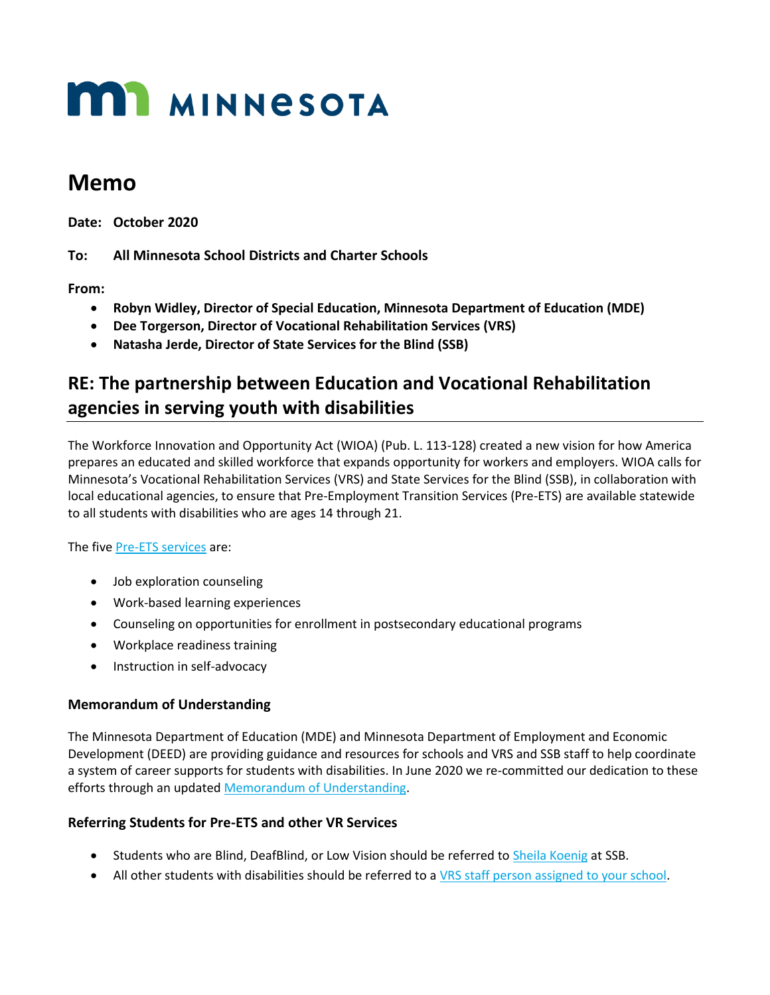# **MI MINNESOTA**

## **Memo**

**Date: October 2020**

**To: All Minnesota School Districts and Charter Schools** 

**From:** 

- **Robyn Widley, Director of Special Education, Minnesota Department of Education (MDE)**
- **Dee Torgerson, Director of Vocational Rehabilitation Services (VRS)**
- **Natasha Jerde, Director of State Services for the Blind (SSB)**

### **RE: The partnership between Education and Vocational Rehabilitation agencies in serving youth with disabilities**

The Workforce Innovation and Opportunity Act (WIOA) (Pub. L. 113-128) created a new vision for how America prepares an educated and skilled workforce that expands opportunity for workers and employers. WIOA calls for Minnesota's Vocational Rehabilitation Services (VRS) and State Services for the Blind (SSB), in collaboration with local educational agencies, to ensure that Pre-Employment Transition Services (Pre-ETS) are available statewide to all students with disabilities who are ages 14 through 21.

The five [Pre-ETS services](https://mn.gov/deed/assets/pre-ets-desk-aid_tcm1045-308172.pdf) are:

- Job exploration counseling
- Work-based learning experiences
- Counseling on opportunities for enrollment in postsecondary educational programs
- Workplace readiness training
- Instruction in self-advocacy

#### **Memorandum of Understanding**

The Minnesota Department of Education (MDE) and Minnesota Department of Employment and Economic Development (DEED) are providing guidance and resources for schools and VRS and SSB staff to help coordinate a system of career supports for students with disabilities. In June 2020 we re-committed our dedication to these efforts through an updated [Memorandum of Understanding.](https://mn.gov/deed/assets/deed-mde-memorandum-understanding_tcm1045-446938.pdf)

#### **Referring Students for Pre-ETS and other VR Services**

- Students who are Blind, DeafBlind, or Low Vision should be referred to [Sheila Koenig](mailto:Sheila.Koenig@state.mn.us) at SSB.
- All other students with disabilities should be referred to [a VRS staff person assigned to your school.](https://mn.gov/deed/job-seekers/disabilities/youth/contacts/)